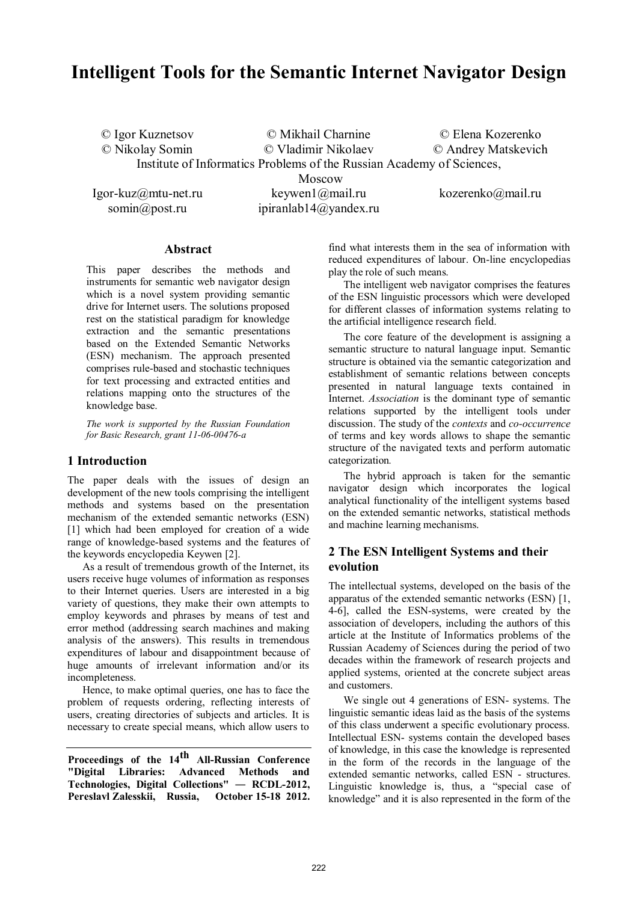# **Intelligent Tools for the Semantic Internet Navigator Design**

© Igor Kuznetsov © Mikhail Charnine © Elena Kozerenko

© Nikolay Somin © Vladimir Nikolaev © Andrey Matskevich Institute of Informatics Problems of the Russian Academy of Sciences,

Moscow

[Igor-kuz@mtu-net.ru](mailto:Igor-kuz@mtu-net.ru) [keywen1@mail.ru](mailto:keywen1@mail.ru) [kozerenko@mail.ru](mailto:kozerenko@mail.ru)  somin@post.ru ipiranlab14@yandex.ru

#### **Abstract**

This paper describes the methods and instruments for semantic web navigator design which is a novel system providing semantic drive for Internet users. The solutions proposed rest on the statistical paradigm for knowledge extraction and the semantic presentations based on the Extended Semantic Networks (ESN) mechanism. The approach presented comprises rule-based and stochastic techniques for text processing and extracted entities and relations mapping onto the structures of the knowledge base.

*The work is supported by the Russian Foundation for Basic Research, grant 11-06-00476-í*

### **1 Introduction**

The paper deals with the issues of design an development of the new tools comprising the intelligent methods and systems based on the presentation mechanism of the extended semantic networks (ESN) [1] which had been employed for creation of a wide range of knowledge-based systems and the features of the keywords encyclopedia Keywen [2].

As a result of tremendous growth of the Internet, its users receive huge volumes of information as responses to their Internet queries. Users are interested in a big variety of questions, they make their own attempts to employ keywords and phrases by means of test and error method (addressing search machines and making analysis of the answers). This results in tremendous expenditures of labour and disappointment because of huge amounts of irrelevant information and/or its incompleteness.

Hence, to make optimal queries, one has to face the problem of requests ordering, reflecting interests of users, creating directories of subjects and articles. It is necessary to create special means, which allow users to

**Proceedings of the 14th All-Russian Conference "Digital Libraries: Advanced Methods and Technologies, Digital Collections" \_ RCDL-2012, Pereslavl Zalesskii, Russia, October 15-18 2012.** 

find what interests them in the sea of information with reduced expenditures of labour. On-line encyclopedias play the role of such means.

The intelligent web navigator comprises the features of the ESN linguistic processors which were developed for different classes of information systems relating to the artificial intelligence research field.

The core feature of the development is assigning a semantic structure to natural language input. Semantic structure is obtained via the semantic categorization and establishment of semantic relations between concepts presented in natural language texts contained in Internet. *Association* is the dominant type of semantic relations supported by the intelligent tools under discussion. The study of the *contexts* and *co-occurrence*  of terms and key words allows to shape the semantic structure of the navigated texts and perform automatic categorization*.*

The hybrid approach is taken for the semantic navigator design which incorporates the logical analytical functionality of the intelligent systems based on the extended semantic networks, statistical methods and machine learning mechanisms.

### **2 The ESN Intelligent Systems and their evolution**

The intellectual systems, developed on the basis of the apparatus of the extended semantic networks (ESN) [1, 4-6], called the ESN-systems, were created by the association of developers, including the authors of this article at the Institute of Informatics problems of the Russian Academy of Sciences during the period of two decades within the framework of research projects and applied systems, oriented at the concrete subject areas and customers.

We single out 4 generations of ESN- systems. The linguistic semantic ideas laid as the basis of the systems of this class underwent a specific evolutionary process. Intellectual ESN- systems contain the developed bases of knowledge, in this case the knowledge is represented in the form of the records in the language of the extended semantic networks, called ESN - structures. Linguistic knowledge is, thus, a "special case of knowledge" and it is also represented in the form of the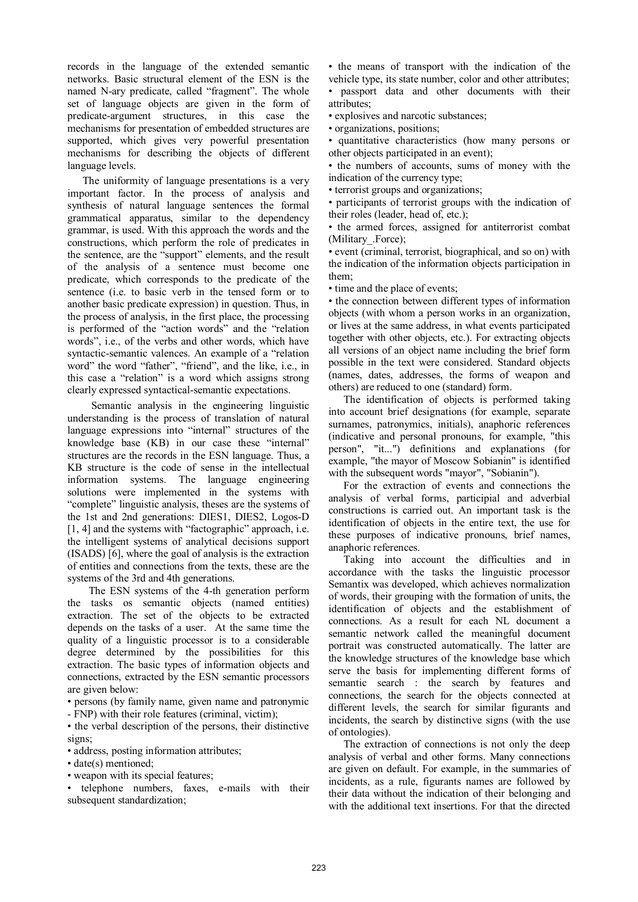records in the language of the extended semantic networks. Basic structural element of the ESN is the named N-ary predicate, called "fragment". The whole set of language objects are given in the form of predicate-argument structures, in this case the mechanisms for presentation of embedded structures are supported, which gives very powerful presentation mechanisms for describing the objects of different language levels.

The uniformity of language presentations is a very important factor. In the process of analysis and synthesis of natural language sentences the formal grammatical apparatus, similar to the dependency grammar, is used. With this approach the words and the constructions, which perform the role of predicates in the sentence, are the "support" elements, and the result of the analysis of a sentence must become one predicate, which corresponds to the predicate of the sentence (i.e. to basic verb in the tensed form or to another basic predicate expression) in question. Thus, in the process of analysis, in the first place, the processing is performed of the "action words" and the "relation words", i.e., of the verbs and other words, which have syntactic-semantic valences. An example of a "relation" word" the word "father", "friend", and the like, i.e., in this case a "relation" is a word which assigns strong clearly expressed syntactical-semantic expectations.

Semantic analysis in the engineering linguistic understanding is the process of translation of natural language expressions into "internal" structures of the knowledge base (KB) in our case these "internal" structures are the records in the ESN language. Thus, a KB structure is the code of sense in the intellectual information systems. The language engineering solutions were implemented in the systems with "complete" linguistic analysis, theses are the systems of the 1st and 2nd generations: DIES1, DIES2, Logos-D [1, 4] and the systems with "factographic" approach, i.e. the intelligent systems of analytical decisions support (ISADS) [6], where the goal of analysis is the extraction of entities and connections from the texts, these are the systems of the 3rd and 4th generations.

The ESN systems of the 4-th generation perform the tasks os semantic objects (named entities) extraction. The set of the objects to be extracted depends on the tasks of a user. At the same time the quality of a linguistic processor is to a considerable degree determined by the possibilities for this extraction. The basic types of information objects and connections, extracted by the ESN semantic processors are given below:

• persons (by family name, given name and patronymic - FNP) with their role features (criminal, victim);

• the verbal description of the persons, their distinctive signs:

- address, posting information attributes;
- $\cdot$  date(s) mentioned;
- weapon with its special features;

· telephone numbers, faxes, e-mails with their subsequent standardization;

• the means of transport with the indication of the vehicle type, its state number, color and other attributes;

- · passport data and other documents with their attributes:
- explosives and narcotic substances;
- organizations, positions;

• quantitative characteristics (how many persons or other objects participated in an event);

• the numbers of accounts, sums of money with the indication of the currency type:

• terrorist groups and organizations;

• participants of terrorist groups with the indication of their roles (leader, head of, etc.);

• the armed forces, assigned for antiterrorist combat (Military .Force);

• event (criminal, terrorist, biographical, and so on) with the indication of the information objects participation in them:

• time and the place of events:

• the connection between different types of information objects (with whom a person works in an organization, or lives at the same address, in what events participated together with other objects, etc.). For extracting objects all versions of an object name including the brief form possible in the text were considered. Standard objects (names, dates, addresses, the forms of weapon and others) are reduced to one (standard) form.

The identification of objects is performed taking into account brief designations (for example, separate surnames, patronymics, initials), anaphoric references (indicative and personal pronouns, for example, "this person", "it...") definitions and explanations (for example, "the mayor of Moscow Sobianin" is identified with the subsequent words "mayor", "Sobianin").

For the extraction of events and connections the analysis of verbal forms, participial and adverbial constructions is carried out. An important task is the identification of objects in the entire text, the use for these purposes of indicative pronouns, brief names, anaphoric references.

Taking into account the difficulties and in accordance with the tasks the linguistic processor Semantix was developed, which achieves normalization of words, their grouping with the formation of units, the identification of objects and the establishment of connections. As a result for each NL document a semantic network called the meaningful document portrait was constructed automatically. The latter are the knowledge structures of the knowledge base which serve the basis for implementing different forms of semantic search : the search by features and connections, the search for the objects connected at different levels, the search for similar figurants and incidents, the search by distinctive signs (with the use of ontologies).

The extraction of connections is not only the deep analysis of verbal and other forms. Many connections are given on default. For example, in the summaries of incidents, as a rule, figurants names are followed by their data without the indication of their belonging and with the additional text insertions. For that the directed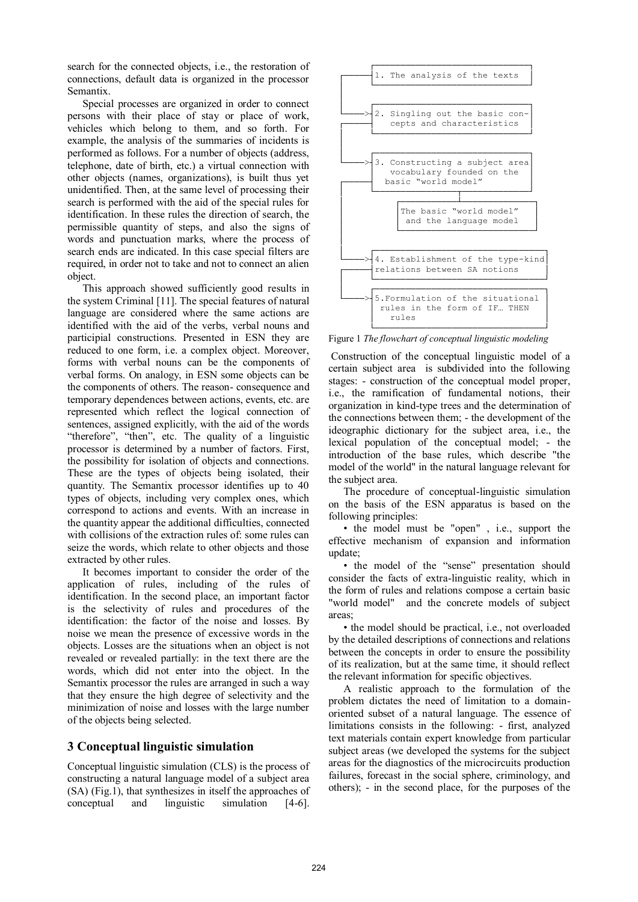search for the connected objects, i.e., the restoration of connections, default data is organized in the processor Semantix.

Special processes are organized in order to connect persons with their place of stay or place of work, vehicles which belong to them, and so forth. For example, the analysis of the summaries of incidents is performed as follows. For a number of objects (address, telephone, date of birth, etc.) a virtual connection with other objects (names, organizations), is built thus yet unidentified. Then, at the same level of processing their search is performed with the aid of the special rules for identification. In these rules the direction of search, the permissible quantity of steps, and also the signs of words and punctuation marks, where the process of search ends are indicated. In this case special filters are required, in order not to take and not to connect an alien object.

This approach showed sufficiently good results in the system Criminal [11]. The special features of natural language are considered where the same actions are identified with the aid of the verbs, verbal nouns and participial constructions. Presented in ESN they are reduced to one form, i.e. a complex object. Moreover, forms with verbal nouns can be the components of verbal forms. On analogy, in ESN some objects can be the components of others. The reason- consequence and temporary dependences between actions, events, etc. are represented which reflect the logical connection of sentences, assigned explicitly, with the aid of the words "therefore", "then", etc. The quality of a linguistic processor is determined by a number of factors. First, the possibility for isolation of objects and connections. These are the types of objects being isolated, their quantity. The Semantix processor identifies up to 40 types of objects, including very complex ones, which correspond to actions and events. With an increase in the quantity appear the additional difficulties, connected with collisions of the extraction rules of: some rules can seize the words, which relate to other objects and those extracted by other rules.

It becomes important to consider the order of the application of rules, including of the rules of identification. In the second place, an important factor is the selectivity of rules and procedures of the identification: the factor of the noise and losses. By noise we mean the presence of excessive words in the objects. Losses are the situations when an object is not revealed or revealed partially: in the text there are the words, which did not enter into the object. In the Semantix processor the rules are arranged in such a way that they ensure the high degree of selectivity and the minimization of noise and losses with the large number of the objects being selected.

### **3 Conceptual linguistic simulation**

Conceptual linguistic simulation (CLS) is the process of constructing a natural language model of a subject area (SA) (Fig.1), that synthesizes in itself the approaches of conceptual and linguistic simulation [4-6].



Figure 1 *The flowchart of conceptual linguistic modeling* 

 Construction of the conceptual linguistic model of a certain subject area is subdivided into the following stages: - construction of the conceptual model proper, i.e., the ramification of fundamental notions, their organization in kind-type trees and the determination of the connections between them; - the development of the ideographic dictionary for the subject area, i.e., the lexical population of the conceptual model; - the introduction of the base rules, which describe "the model of the world" in the natural language relevant for the subject area.

The procedure of conceptual-linguistic simulation on the basis of the ESN apparatus is based on the following principles:

• the model must be "open", i.e., support the effective mechanism of expansion and information update;

• the model of the "sense" presentation should consider the facts of extra-linguistic reality, which in the form of rules and relations compose a certain basic "world model" and the concrete models of subject areas;

• the model should be practical, i.e., not overloaded by the detailed descriptions of connections and relations between the concepts in order to ensure the possibility of its realization, but at the same time, it should reflect the relevant information for specific objectives.

A realistic approach to the formulation of the problem dictates the need of limitation to a domainoriented subset of a natural language. The essence of limitations consists in the following: - first, analyzed text materials contain expert knowledge from particular subject areas (we developed the systems for the subject areas for the diagnostics of the microcircuits production failures, forecast in the social sphere, criminology, and others); - in the second place, for the purposes of the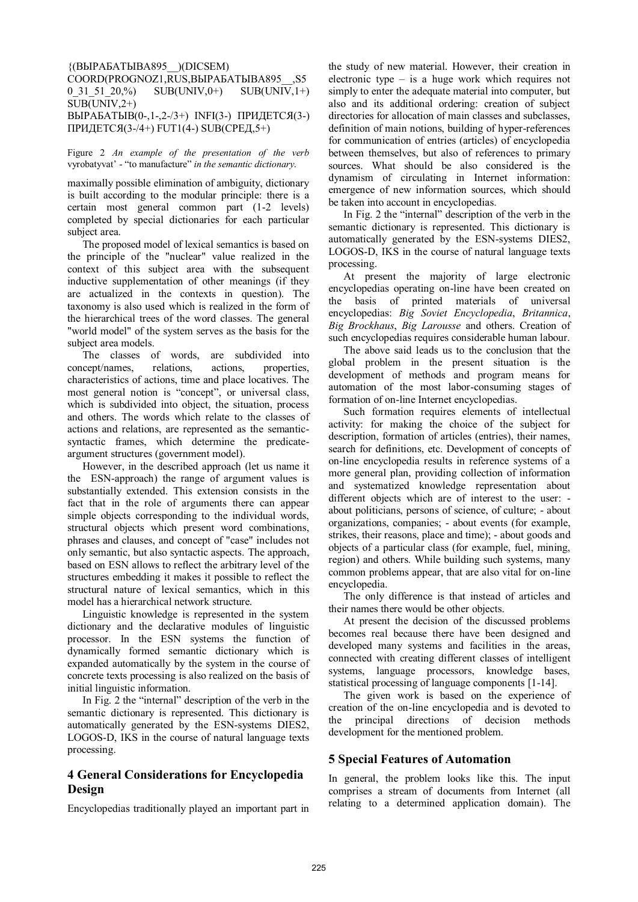#### {(BbIPAGATbIBA895 )(DICSEM) COORD(PROGNOZ1,RUS,BЫPAБAТЫВА895 .S5 0\_31\_51\_20,%) SUB(UNIV,0+) SUB(UNIV,1+)

 $SUB(UNIV, 2+)$ ВЫРАБАТЫВ $(0, 1, 2, 3+)$  INFI(3-) ПРИДЕТСЯ(3-)

ПРИДЕТСЯ $(3-/4+)$  FUT1 $(4-)$  SUB(СРЕД, $5+)$ 

#### Figure 2 *An example of the presentation of the verb*   $S$ robatyvat' - "to manufacture" *in the semantic dictionary*.

maximally possible elimination of ambiguity, dictionary is built according to the modular principle: there is a certain most general common part (1-2 levels) completed by special dictionaries for each particular subject area.

The proposed model of lexical semantics is based on the principle of the "nuclear" value realized in the context of this subject area with the subsequent inductive supplementation of other meanings (if they are actualized in the contexts in question). The taxonomy is also used which is realized in the form of the hierarchical trees of the word classes. The general "world model" of the system serves as the basis for the subject area models.

The classes of words, are subdivided into concept/names, relations, actions, properties, characteristics of actions, time and place locatives. The most general notion is "concept", or universal class, which is subdivided into object, the situation, process and others. The words which relate to the classes of actions and relations, are represented as the semanticsyntactic frames, which determine the predicateargument structures (government model).

However, in the described approach (let us name it the ESN-approach) the range of argument values is substantially extended. This extension consists in the fact that in the role of arguments there can appear simple objects corresponding to the individual words, structural objects which present word combinations, phrases and clauses, and concept of "case" includes not only semantic, but also syntactic aspects. The approach, based on ESN allows to reflect the arbitrary level of the structures embedding it makes it possible to reflect the structural nature of lexical semantics, which in this model has a hierarchical network structure.

Linguistic knowledge is represented in the system dictionary and the declarative modules of linguistic processor. In the ESN systems the function of dynamically formed semantic dictionary which is expanded automatically by the system in the course of concrete texts processing is also realized on the basis of initial linguistic information.

In Fig. 2 the "internal" description of the verb in the semantic dictionary is represented. This dictionary is automatically generated by the ESN-systems DIES2, LOGOS-D, IKS in the course of natural language texts processing.

## **4 General Considerations for Encyclopedia Design**

Encyclopedias traditionally played an important part in

the study of new material. However, their creation in electronic type – is a huge work which requires not simply to enter the adequate material into computer, but also and its additional ordering: creation of subject directories for allocation of main classes and subclasses, definition of main notions, building of hyper-references for communication of entries (articles) of encyclopedia between themselves, but also of references to primary sources. What should be also considered is the dynamism of circulating in Internet information: emergence of new information sources, which should be taken into account in encyclopedias.

In Fig. 2 the "internal" description of the verb in the semantic dictionary is represented. This dictionary is automatically generated by the ESN-systems DIES2, LOGOS-D, IKS in the course of natural language texts processing.

At present the majority of large electronic encyclopedias operating on-line have been created on the basis of printed materials of universal encyclopedias: *Big Soviet Encyclopedia*, *Britannica*, *Big Brockhaus*, *Big Larousse* and others. Creation of such encyclopedias requires considerable human labour.

The above said leads us to the conclusion that the global problem in the present situation is the development of methods and program means for automation of the most labor-consuming stages of formation of on-line Internet encyclopedias.

Such formation requires elements of intellectual activity: for making the choice of the subject for description, formation of articles (entries), their names, search for definitions, etc. Development of concepts of on-line encyclopedia results in reference systems of a more general plan, providing collection of information and systematized knowledge representation about different objects which are of interest to the user: about politicians, persons of science, of culture; - about organizations, companies; - about events (for example, strikes, their reasons, place and time); - about goods and objects of a particular class (for example, fuel, mining, region) and others. While building such systems, many common problems appear, that are also vital for on-line encyclopedia.

The only difference is that instead of articles and their names there would be other objects.

At present the decision of the discussed problems becomes real because there have been designed and developed many systems and facilities in the areas, connected with creating different classes of intelligent systems, language processors, knowledge bases, statistical processing of language components [1-14].

The given work is based on the experience of creation of the on-line encyclopedia and is devoted to the principal directions of decision methods development for the mentioned problem.

## **5 Special Features of Automation**

In general, the problem looks like this. The input comprises a stream of documents from Internet (all relating to a determined application domain). The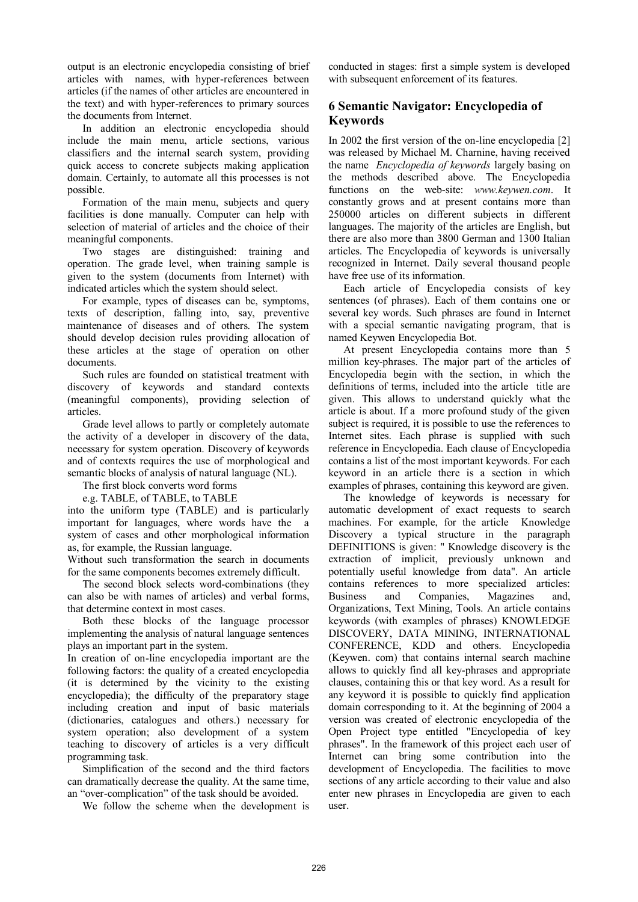output is an electronic encyclopedia consisting of brief articles with names, with hyper-references between articles (if the names of other articles are encountered in the text) and with hyper-references to primary sources the documents from Internet.

In addition an electronic encyclopedia should include the main menu, article sections, various classifiers and the internal search system, providing quick access to concrete subjects making application domain. Certainly, to automate all this processes is not possible.

Formation of the main menu, subjects and query facilities is done manually. Computer can help with selection of material of articles and the choice of their meaningful components.

Two stages are distinguished: training and operation. The grade level, when training sample is given to the system (documents from Internet) with indicated articles which the system should select.

For example, types of diseases can be, symptoms, texts of description, falling into, say, preventive maintenance of diseases and of others. The system should develop decision rules providing allocation of these articles at the stage of operation on other documents.

Such rules are founded on statistical treatment with discovery of keywords and standard contexts (meaningful components), providing selection of articles.

Grade level allows to partly or completely automate the activity of a developer in discovery of the data, necessary for system operation. Discovery of keywords and of contexts requires the use of morphological and semantic blocks of analysis of natural language (NL).

The first block converts word forms

e.g. TABLE, of TABLE, to TABLE

into the uniform type (TABLE) and is particularly important for languages, where words have the a system of cases and other morphological information as, for example, the Russian language.

Without such transformation the search in documents for the same components becomes extremely difficult.

The second block selects word-combinations (they can also be with names of articles) and verbal forms, that determine context in most cases.

Both these blocks of the language processor implementing the analysis of natural language sentences plays an important part in the system.

In creation of on-line encyclopedia important are the following factors: the quality of a created encyclopedia (it is determined by the vicinity to the existing encyclopedia); the difficulty of the preparatory stage including creation and input of basic materials (dictionaries, catalogues and others.) necessary for system operation; also development of a system teaching to discovery of articles is a very difficult programming task.

Simplification of the second and the third factors can dramatically decrease the quality. At the same time, an "over-complication" of the task should be avoided.

We follow the scheme when the development is

conducted in stages: first a simple system is developed with subsequent enforcement of its features.

# **6 Semantic Navigator: Encyclopedia of Keywords**

In 2002 the first version of the on-line encyclopedia [2] was released by Michael M. Charnine, having received the name *Encyclopedia of keywords* largely basing on the methods described above. The Encyclopedia functions on the web-site: *www.keywen.com*. It constantly grows and at present contains more than 250000 articles on different subjects in different languages. The majority of the articles are English, but there are also more than 3800 German and 1300 Italian articles. The Encyclopedia of keywords is universally recognized in Internet. Daily several thousand people have free use of its information.

Each article of Encyclopedia consists of key sentences (of phrases). Each of them contains one or several key words. Such phrases are found in Internet with a special semantic navigating program, that is named Keywen Encyclopedia Bot.

At present Encyclopedia contains more than 5 million key-phrases. The major part of the articles of Encyclopedia begin with the section, in which the definitions of terms, included into the article title are given. This allows to understand quickly what the article is about. If a more profound study of the given subject is required, it is possible to use the references to Internet sites. Each phrase is supplied with such reference in Encyclopedia. Each clause of Encyclopedia contains a list of the most important keywords. For each keyword in an article there is a section in which examples of phrases, containing this keyword are given.

The knowledge of keywords is necessary for automatic development of exact requests to search machines. For example, for the article Knowledge Discovery a typical structure in the paragraph DEFINITIONS is given: " Knowledge discovery is the extraction of implicit, previously unknown and potentially useful knowledge from data". An article contains references to more specialized articles: Business and Companies, Magazines and, Organizations, Text Mining, Tools. An article contains keywords (with examples of phrases) KNOWLEDGE DISCOVERY, DATA MINING, INTERNATIONAL CONFERENCE, KDD and others. Encyclopedia (Keywen. com) that contains internal search machine allows to quickly find all key-phrases and appropriate clauses, containing this or that key word. As a result for any keyword it is possible to quickly find application domain corresponding to it. At the beginning of 2004 a version was created of electronic encyclopedia of the Open Project type entitled "Encyclopedia of key phrases". In the framework of this project each user of Internet can bring some contribution into the development of Encyclopedia. The facilities to move sections of any article according to their value and also enter new phrases in Encyclopedia are given to each user.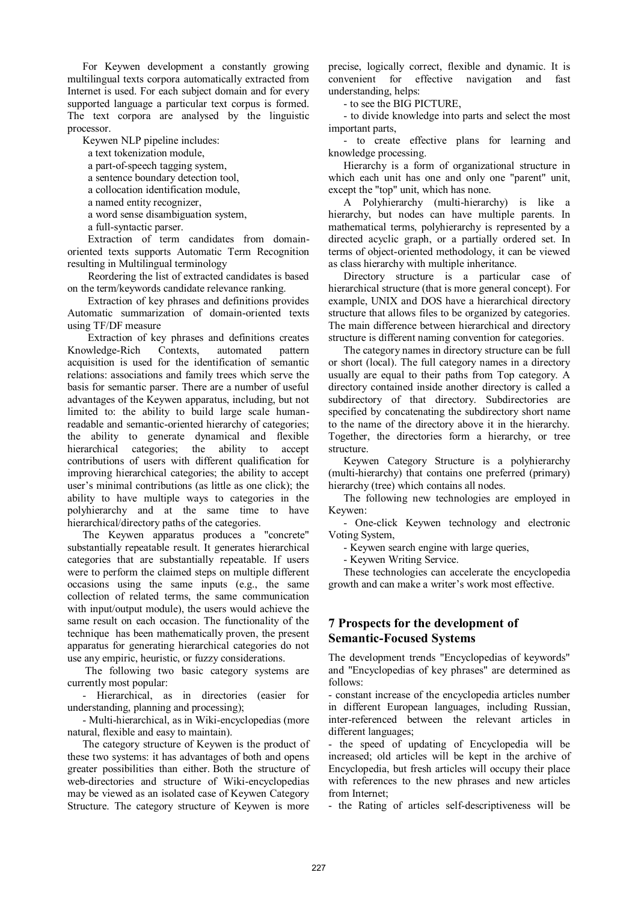For Keywen development a constantly growing multilingual texts corpora automatically extracted from Internet is used. For each subject domain and for every supported language a particular text corpus is formed. The text corpora are analysed by the linguistic processor.

Keywen NLP pipeline includes:

a text tokenization module,

a part-of-speech tagging system,

a sentence boundary detection tool,

a collocation identification module,

a named entity recognizer,

a word sense disambiguation system,

a full-syntactic parser.

 Extraction of term candidates from domainoriented texts supports Automatic Term Recognition resulting in Multilingual terminology

 Reordering the list of extracted candidates is based on the term/keywords candidate relevance ranking.

 Extraction of key phrases and definitions provides Automatic summarization of domain-oriented texts using TF/DF measure

 Extraction of key phrases and definitions creates Knowledge-Rich Contexts, automated pattern acquisition is used for the identification of semantic relations: associations and family trees which serve the basis for semantic parser. There are a number of useful advantages of the Keywen apparatus, including, but not limited to: the ability to build large scale humanreadable and semantic-oriented hierarchy of categories; the ability to generate dynamical and flexible hierarchical categories; the ability to accept contributions of users with different qualification for improving hierarchical categories; the ability to accept user's minimal contributions (as little as one click); the ability to have multiple ways to categories in the polyhierarchy and at the same time to have hierarchical/directory paths of the categories.

The Keywen apparatus produces a "concrete" substantially repeatable result. It generates hierarchical categories that are substantially repeatable. If users were to perform the claimed steps on multiple different occasions using the same inputs (e.g., the same collection of related terms, the same communication with input/output module), the users would achieve the same result on each occasion. The functionality of the technique has been mathematically proven, the present apparatus for generating hierarchical categories do not use any empiric, heuristic, or fuzzy considerations.

 The following two basic category systems are currently most popular:

- Hierarchical, as in directories (easier for understanding, planning and processing);

- Multi-hierarchical, as in Wiki-encyclopedias (more natural, flexible and easy to maintain).

The category structure of Keywen is the product of these two systems: it has advantages of both and opens greater possibilities than either. Both the structure of web-directories and structure of Wiki-encyclopedias may be viewed as an isolated case of Keywen Category Structure. The category structure of Keywen is more

precise, logically correct, flexible and dynamic. It is convenient for effective navigation and fast understanding, helps:

- to see the BIG PICTURE,

- to divide knowledge into parts and select the most important parts,

- to create effective plans for learning and knowledge processing.

Hierarchy is a form of organizational structure in which each unit has one and only one "parent" unit, except the "top" unit, which has none.

A Polyhierarchy (multi-hierarchy) is like a hierarchy, but nodes can have multiple parents. In mathematical terms, polyhierarchy is represented by a directed acyclic graph, or a partially ordered set. In terms of object-oriented methodology, it can be viewed as class hierarchy with multiple inheritance.

Directory structure is a particular case of hierarchical structure (that is more general concept). For example, UNIX and DOS have a hierarchical directory structure that allows files to be organized by categories. The main difference between hierarchical and directory structure is different naming convention for categories.

The category names in directory structure can be full or short (local). The full category names in a directory usually are equal to their paths from Top category. A directory contained inside another directory is called a subdirectory of that directory. Subdirectories are specified by concatenating the subdirectory short name to the name of the directory above it in the hierarchy. Together, the directories form a hierarchy, or tree structure.

Keywen Category Structure is a polyhierarchy (multi-hierarchy) that contains one preferred (primary) hierarchy (tree) which contains all nodes.

The following new technologies are employed in Keywen:

- One-click Keywen technology and electronic Voting System,

- Keywen search engine with large queries,

- Keywen Writing Service.

These technologies can accelerate the encyclopedia growth and can make a writer's work most effective.

### **7 Prospects for the development of Semantic-Focused Systems**

The development trends "Encyclopedias of keywords" and "Encyclopedias of key phrases" are determined as follows:

- constant increase of the encyclopedia articles number in different European languages, including Russian, inter-referenced between the relevant articles in different languages;

- the speed of updating of Encyclopedia will be increased; old articles will be kept in the archive of Encyclopedia, but fresh articles will occupy their place with references to the new phrases and new articles from Internet;

- the Rating of articles self-descriptiveness will be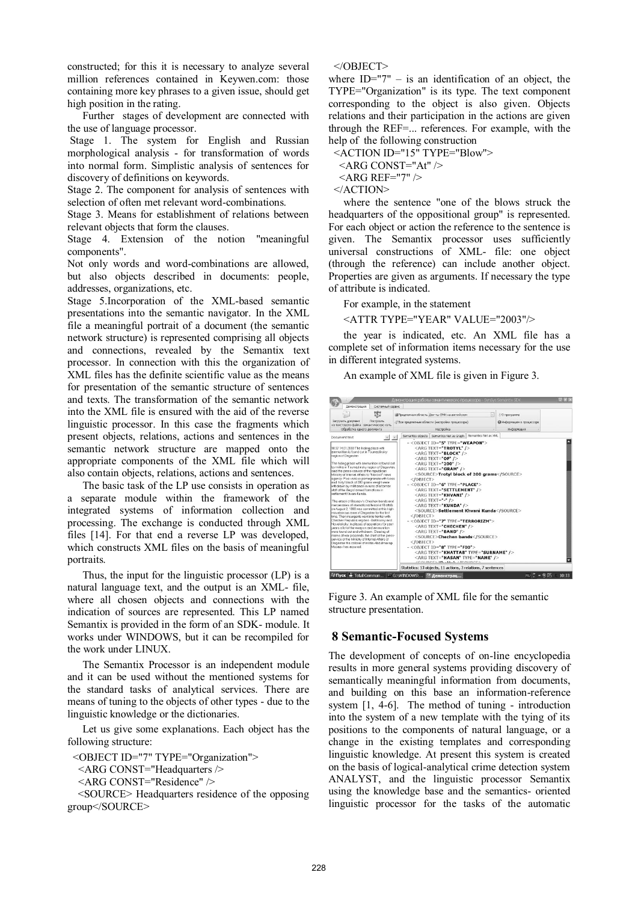constructed; for this it is necessary to analyze several million references contained in Keywen.com: those containing more key phrases to a given issue, should get high position in the rating.

Further stages of development are connected with the use of language processor.

 Stage 1. The system for English and Russian morphological analysis - for transformation of words into normal form. Simplistic analysis of sentences for discovery of definitions on keywords.

Stage 2. The component for analysis of sentences with selection of often met relevant word-combinations.

Stage 3. Means for establishment of relations between relevant objects that form the clauses.

Stage 4. Extension of the notion "meaningful components".

Not only words and word-combinations are allowed, but also objects described in documents: people, addresses, organizations, etc.

Stage 5.Incorporation of the XML-based semantic presentations into the semantic navigator. In the XML file a meaningful portrait of a document (the semantic network structure) is represented comprising all objects and connections, revealed by the Semantix text processor. In connection with this the organization of XML files has the definite scientific value as the means for presentation of the semantic structure of sentences and texts. The transformation of the semantic network into the XML file is ensured with the aid of the reverse linguistic processor. In this case the fragments which present objects, relations, actions and sentences in the semantic network structure are mapped onto the appropriate components of the XML file which will also contain objects, relations, actions and sentences.

The basic task of the LP use consists in operation as a separate module within the framework of the integrated systems of information collection and processing. The exchange is conducted through XML files [14]. For that end a reverse LP was developed, which constructs XML files on the basis of meaningful portraits.

Thus, the input for the linguistic processor (LP) is a natural language text, and the output is an XML- file, where all chosen objects and connections with the indication of sources are represented. This LP named Semantix is provided in the form of an SDK- module. It works under WINDOWS, but it can be recompiled for the work under LINUX.

The Semantix Processor is an independent module and it can be used without the mentioned systems for the standard tasks of analytical services. There are means of tuning to the objects of other types - due to the linguistic knowledge or the dictionaries.

Let us give some explanations. Each object has the following structure:

<OBJECT ID="7" TYPE="Organization">

<ARG CONST="Headquarters />

<ARG CONST="Residence" />

 <SOURCE> Headquarters residence of the opposing group</SOURCE>

</OBJECT>

where  $ID="7" - is an identification of an object, the$ TYPE="Organization" is its type. The text component corresponding to the object is also given. Objects relations and their participation in the actions are given through the REF=... references. For example, with the help of the following construction

<ACTION ID="15" TYPE="Blow">

 $<$ ARG CONST="At"  $>$ 

<ARG REF="7" />

</ACTION>

where the sentence "one of the blows struck the headquarters of the oppositional group" is represented. For each object or action the reference to the sentence is given. The Semantix processor uses sufficiently universal constructions of XML- file: one object (through the reference) can include another object. Properties are given as arguments. If necessary the type of attribute is indicated.

For example, in the statement

<ATTR TYPE="YEAR" VALUE="2003"/>

the year is indicated, etc. An XML file has a complete set of information items necessary for the use in different integrated systems.

An example of XML file is given in Figure 3.

|                                                                                                                                                                                                                                                                                                                                                                                                                                                                                                                                                                                                                                                                                                                                                                                                                                                                                                                                                                                                                                                                                                                                      | Демонстрация работы семантического процессора - SynGys Semantix SDK                                                                                                                                                                                                                                                                                                                                                                                                                                                                                                                                                                                                                                                                                                                                                                                                                                                                          |                                   |
|--------------------------------------------------------------------------------------------------------------------------------------------------------------------------------------------------------------------------------------------------------------------------------------------------------------------------------------------------------------------------------------------------------------------------------------------------------------------------------------------------------------------------------------------------------------------------------------------------------------------------------------------------------------------------------------------------------------------------------------------------------------------------------------------------------------------------------------------------------------------------------------------------------------------------------------------------------------------------------------------------------------------------------------------------------------------------------------------------------------------------------------|----------------------------------------------------------------------------------------------------------------------------------------------------------------------------------------------------------------------------------------------------------------------------------------------------------------------------------------------------------------------------------------------------------------------------------------------------------------------------------------------------------------------------------------------------------------------------------------------------------------------------------------------------------------------------------------------------------------------------------------------------------------------------------------------------------------------------------------------------------------------------------------------------------------------------------------------|-----------------------------------|
| Октемный сервис<br>Демонстрация                                                                                                                                                                                                                                                                                                                                                                                                                                                                                                                                                                                                                                                                                                                                                                                                                                                                                                                                                                                                                                                                                                      |                                                                                                                                                                                                                                                                                                                                                                                                                                                                                                                                                                                                                                                                                                                                                                                                                                                                                                                                              |                                   |
| 闃                                                                                                                                                                                                                                                                                                                                                                                                                                                                                                                                                                                                                                                                                                                                                                                                                                                                                                                                                                                                                                                                                                                                    | ШПредметная область Док-ты СМИ на английском                                                                                                                                                                                                                                                                                                                                                                                                                                                                                                                                                                                                                                                                                                                                                                                                                                                                                                 | О программе<br>$\vert \vee \vert$ |
| Загрузить документ<br>Построить<br>из текстового файла семантическио сеть                                                                                                                                                                                                                                                                                                                                                                                                                                                                                                                                                                                                                                                                                                                                                                                                                                                                                                                                                                                                                                                            | «Все предметные области (настройки процессора)                                                                                                                                                                                                                                                                                                                                                                                                                                                                                                                                                                                                                                                                                                                                                                                                                                                                                               | @Информация о процессоре          |
| Обработка одного документа                                                                                                                                                                                                                                                                                                                                                                                                                                                                                                                                                                                                                                                                                                                                                                                                                                                                                                                                                                                                                                                                                                           | Настройка                                                                                                                                                                                                                                                                                                                                                                                                                                                                                                                                                                                                                                                                                                                                                                                                                                                                                                                                    | Информация                        |
| Dog iment text.                                                                                                                                                                                                                                                                                                                                                                                                                                                                                                                                                                                                                                                                                                                                                                                                                                                                                                                                                                                                                                                                                                                      | Semantics objects   Semantics Net as Graph   Semantics Net as XML<br>$\begin{array}{c c c c c} \hline \multicolumn{3}{c }{\textbf{A}} & \multicolumn{3}{c }{\textbf{B}} \\ \hline \multicolumn{3}{c }{\textbf{A}} & \multicolumn{3}{c }{\textbf{B}} \\ \hline \multicolumn{3}{c }{\textbf{A}} & \multicolumn{3}{c }{\textbf{A}} \\ \hline \multicolumn{3}{c }{\textbf{A}} & \multicolumn{3}{c }{\textbf{A}} \\ \hline \multicolumn{3}{c }{\textbf{A}} & \multicolumn{3}{c }{\textbf{A}} \\ \hline \multicolumn{3}{c }{\textbf{A}} &$                                                                                                                                                                                                                                                                                                                                                                                                         |                                   |
| 18:37 14:81 2003 The hiding place with<br>emmunition is found out in Tsumedinsky<br>region of Degesten<br>The hiding place with ammunition is found out<br>by militia in Tsumadinsky region of Dagestan.<br>said the press-service of the republican<br>Ministry of Internal Affairs to "Novosti" news<br>agency. Five various pomegranate with fuses<br>and trotyl block of 200 grams weight were<br>withdrawn by militiamen in ruins of a former<br>staff of the illegal armed formations in<br>settlement Khyani-Kunda<br>The attack of Basaev's Chechen bands and<br>mercenaries of international terrorist Khattab<br>on August 2, 1999 was committed at this high-<br>mountainous area of Dagestan for the first<br>time. Then insurgents went into frontier with<br>Chechen Republic regions - Botikssky and<br>Novoloksky, in places of operations for past<br>weers a lot of the weapon and ammunition<br>were found out and withdrawn. Clearing of<br>marks of war proceeds, the chief of the press-<br>service of the Ministry of Internal Affairs of<br>Degesten the colonel of militie Abdulmenep<br>Missourine accured | $-$ <object id="5" type="WEAPON"><br/><arg text="TROTYL"></arg><br/><arg <math="" text="BLOCK">/<br/><math>&lt;</math>ARG TEXT="OF" /&gt;<br/><arg text="200"></arg><br/><arg text="GRAM"></arg><br/><source/>Trotyl block of 200 grams<br/><math>&lt;</math>/OBJECT&gt;<br/><math>-</math> <object id="6" type="PLACE"><br/><arg text="SETTLEMENT"></arg><br/><arg text="KHVANI"></arg><br/><math>&lt;</math>ARG TEXT="-" /&gt;<br/><arg text="KUNDA"></arg><br/><source/>Settlement Khvani Kunda<br/><math>&lt;</math>/OBJECT&gt;<br/><math>-</math> <object id="7" type="TERRORIZM"><br/><arg text="CHECHEN"></arg><br/><math>&lt;</math>ARG TEXT="BAND" /&gt;<br/><source/>Chechen bands<br/><math>&lt;</math>/OBJECT&gt;<br/><math>-</math> <object id="8" type="FIO"><br/><arg text="KHATTAB" type="SURNAME"></arg><br/><arg text="HASAN" type="NAME"></arg><br/>continues of state chainers</object></object></object></arg></object> |                                   |
|                                                                                                                                                                                                                                                                                                                                                                                                                                                                                                                                                                                                                                                                                                                                                                                                                                                                                                                                                                                                                                                                                                                                      | Statistics: 13 objects, 11 actions, 3 relations, 7 sentences                                                                                                                                                                                                                                                                                                                                                                                                                                                                                                                                                                                                                                                                                                                                                                                                                                                                                 |                                   |
|                                                                                                                                                                                                                                                                                                                                                                                                                                                                                                                                                                                                                                                                                                                                                                                                                                                                                                                                                                                                                                                                                                                                      | ГЛуск = Total Comman G:\WINDOWS\ <sup>се</sup> Демонстрац                                                                                                                                                                                                                                                                                                                                                                                                                                                                                                                                                                                                                                                                                                                                                                                                                                                                                    | $RU$ $\alpha$ $@$ $K$<br>10:33    |

Figure 3. An example of XML file for the semantic structure presentation.

## **8 Semantic-Focused Systems**

The development of concepts of on-line encyclopedia results in more general systems providing discovery of semantically meaningful information from documents, and building on this base an information-reference system [1, 4-6]. The method of tuning - introduction into the system of a new template with the tying of its positions to the components of natural language, or a change in the existing templates and corresponding linguistic knowledge. At present this system is created on the basis of logical-analytical crime detection system ANALYST, and the linguistic processor Semantix using the knowledge base and the semantics- oriented linguistic processor for the tasks of the automatic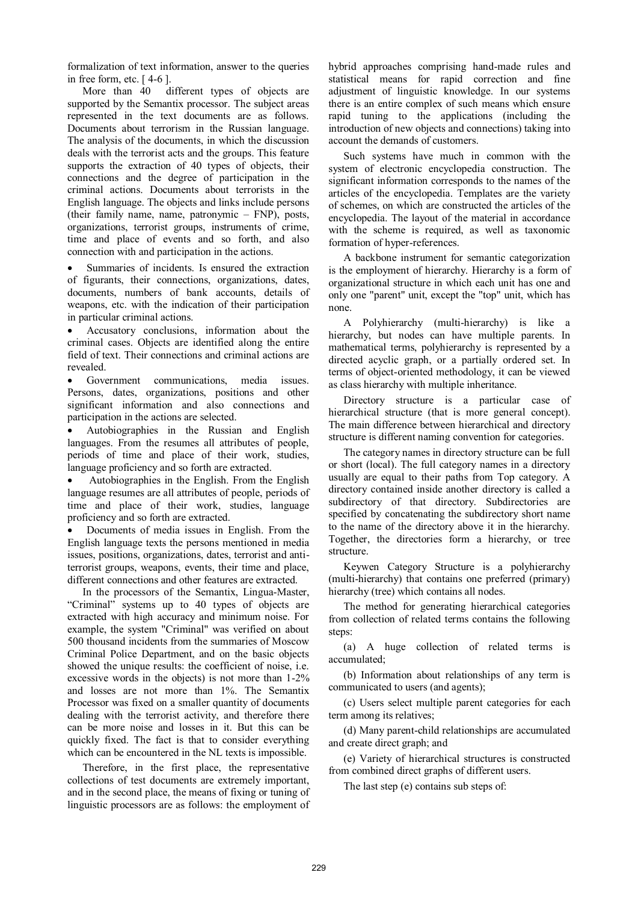formalization of text information, answer to the queries in free form, etc. [ 4-6 ].

More than 40 different types of objects are supported by the Semantix processor. The subject areas represented in the text documents are as follows. Documents about terrorism in the Russian language. The analysis of the documents, in which the discussion deals with the terrorist acts and the groups. This feature supports the extraction of 40 types of objects, their connections and the degree of participation in the criminal actions. Documents about terrorists in the English language. The objects and links include persons (their family name, name, patronymic – FNP), posts, organizations, terrorist groups, instruments of crime, time and place of events and so forth, and also connection with and participation in the actions.

 Summaries of incidents. Is ensured the extraction of figurants, their connections, organizations, dates, documents, numbers of bank accounts, details of weapons, etc. with the indication of their participation in particular criminal actions.

 Accusatory conclusions, information about the criminal cases. Objects are identified along the entire field of text. Their connections and criminal actions are revealed.

 Government communications, media issues. Persons, dates, organizations, positions and other significant information and also connections and participation in the actions are selected.

 Autobiographies in the Russian and English languages. From the resumes all attributes of people, periods of time and place of their work, studies, language proficiency and so forth are extracted.

 Autobiographies in the English. From the English language resumes are all attributes of people, periods of time and place of their work, studies, language proficiency and so forth are extracted.

 Documents of media issues in English. From the English language texts the persons mentioned in media issues, positions, organizations, dates, terrorist and antiterrorist groups, weapons, events, their time and place, different connections and other features are extracted.

In the processors of the Semantix, Lingua-Master, "Criminal" systems up to 40 types of objects are extracted with high accuracy and minimum noise. For example, the system "Criminal" was verified on about 500 thousand incidents from the summaries of Moscow Criminal Police Department, and on the basic objects showed the unique results: the coefficient of noise, i.e. excessive words in the objects) is not more than 1-2% and losses are not more than 1%. The Semantix Processor was fixed on a smaller quantity of documents dealing with the terrorist activity, and therefore there can be more noise and losses in it. But this can be quickly fixed. The fact is that to consider everything which can be encountered in the NL texts is impossible.

Therefore, in the first place, the representative collections of test documents are extremely important, and in the second place, the means of fixing or tuning of linguistic processors are as follows: the employment of hybrid approaches comprising hand-made rules and statistical means for rapid correction and fine adjustment of linguistic knowledge. In our systems there is an entire complex of such means which ensure rapid tuning to the applications (including the introduction of new objects and connections) taking into account the demands of customers.

Such systems have much in common with the system of electronic encyclopedia construction. The significant information corresponds to the names of the articles of the encyclopedia. Templates are the variety of schemes, on which are constructed the articles of the encyclopedia. The layout of the material in accordance with the scheme is required, as well as taxonomic formation of hyper-references.

A backbone instrument for semantic categorization is the employment of hierarchy. Hierarchy is a form of organizational structure in which each unit has one and only one "parent" unit, except the "top" unit, which has none.

A Polyhierarchy (multi-hierarchy) is like a hierarchy, but nodes can have multiple parents. In mathematical terms, polyhierarchy is represented by a directed acyclic graph, or a partially ordered set. In terms of object-oriented methodology, it can be viewed as class hierarchy with multiple inheritance.

Directory structure is a particular case of hierarchical structure (that is more general concept). The main difference between hierarchical and directory structure is different naming convention for categories.

The category names in directory structure can be full or short (local). The full category names in a directory usually are equal to their paths from Top category. A directory contained inside another directory is called a subdirectory of that directory. Subdirectories are specified by concatenating the subdirectory short name to the name of the directory above it in the hierarchy. Together, the directories form a hierarchy, or tree structure.

Keywen Category Structure is a polyhierarchy (multi-hierarchy) that contains one preferred (primary) hierarchy (tree) which contains all nodes.

The method for generating hierarchical categories from collection of related terms contains the following steps:

(a) A huge collection of related terms is accumulated;

(b) Information about relationships of any term is communicated to users (and agents);

(c) Users select multiple parent categories for each term among its relatives;

(d) Many parent-child relationships are accumulated and create direct graph; and

(e) Variety of hierarchical structures is constructed from combined direct graphs of different users.

The last step (e) contains sub steps of: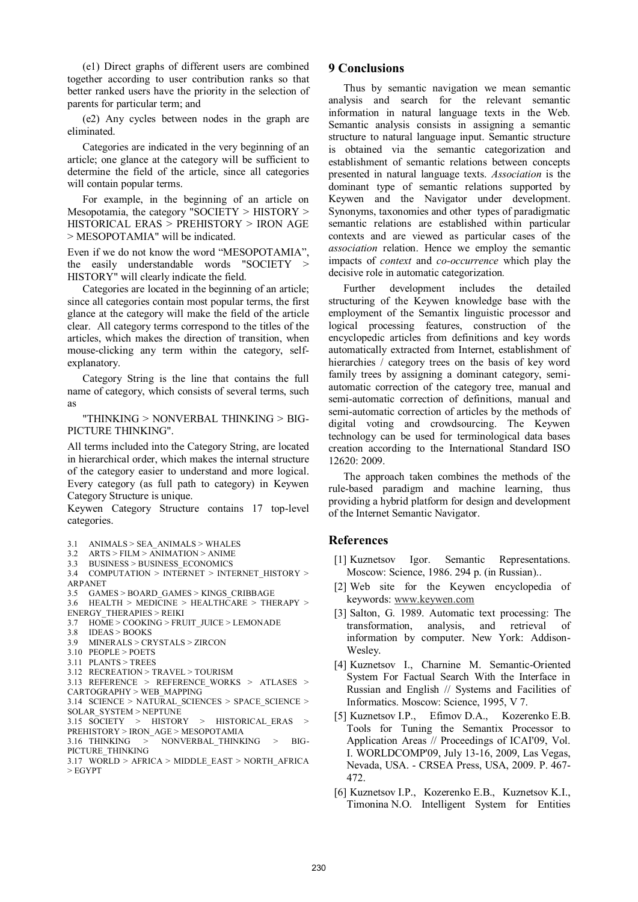(e1) Direct graphs of different users are combined together according to user contribution ranks so that better ranked users have the priority in the selection of parents for particular term; and

(e2) Any cycles between nodes in the graph are eliminated.

Categories are indicated in the very beginning of an article; one glance at the category will be sufficient to determine the field of the article, since all categories will contain popular terms.

For example, in the beginning of an article on Mesopotamia, the category "SOCIETY > HISTORY > HISTORICAL ERAS > PREHISTORY > IRON AGE > MESOPOTAMIA" will be indicated.

Even if we do not know the word "MESOPOTAMIA". the easily understandable words "SOCIETY > HISTORY" will clearly indicate the field.

Categories are located in the beginning of an article; since all categories contain most popular terms, the first glance at the category will make the field of the article clear. All category terms correspond to the titles of the articles, which makes the direction of transition, when mouse-clicking any term within the category, selfexplanatory.

Category String is the line that contains the full name of category, which consists of several terms, such  $a<sub>S</sub>$ 

### "THINKING > NONVERBAL THINKING > BIG-PICTURE THINKING".

All terms included into the Category String, are located in hierarchical order, which makes the internal structure of the category easier to understand and more logical. Every category (as full path to category) in Keywen Category Structure is unique.

Keywen Category Structure contains 17 top-level categories.

- 3.1 ANIMALS > SEA ANIMALS > WHALES
- $32$  $ARTS > FILM > \overline{ANIMATION} > ANIME$
- $3.3$ **BUSINESS > BUSINESS ECONOMICS**

 $COMPUTATION > INTERNET > INTERNET HISTORY >$  $3.4$ **ARPANET** 

GAMES > BOARD GAMES > KINGS CRIBBAGE  $3.5$ 

- $HEALTH > MEDICINE > HEALTH\bar{C}ARE > THERAPY >$ 36 **ENERGY THERAPIES > REIKI**
- $3.7$  HOME > COOKING > FRUIT JUICE > LEMONADE
- $38$  $IDEAS > ROOKS$
- MINERALS > CRYSTALS > ZIRCON 3.9
- $3.10$  PEOPLE > POETS
- $3.11$  PLANTS > TREES
- 3.12 RECREATION > TRAVEL > TOURISM
- 3.13 REFERENCE > REFERENCE\_WORKS > ATLASES > CARTOGRAPHY > WEB MAPPING
- 3.14 SCIENCE > NATURAL SCIENCES > SPACE SCIENCE > **SOLAR SYSTEM > NEPTUNE**
- > HISTORICAL\_ERAS 3.15 SOCIETY > HISTORY  $\rightarrow$  $\small \textbf{PREHISTORY} \geq \small \textbf{IRON}\_\textbf{AGE} \geq \small \textbf{MESOPOTAMIA}$
- 3.16 THINKING  $\sim$ NONVERBAL\_THINKING > BIG-PICTURE THINKING
- 3.17 WORLD > AFRICA > MIDDLE EAST > NORTH AFRICA  $>$  EGYPT

#### 9 Conclusions

Thus by semantic navigation we mean semantic analysis and search for the relevant semantic information in natural language texts in the Web. Semantic analysis consists in assigning a semantic structure to natural language input. Semantic structure is obtained via the semantic categorization and establishment of semantic relations between concepts presented in natural language texts. Association is the dominant type of semantic relations supported by Keywen and the Navigator under development. Synonyms, taxonomies and other types of paradigmatic semantic relations are established within particular contexts and are viewed as particular cases of the *association* relation. Hence we employ the semantic impacts of *context* and *co-occurrence* which play the decisive role in automatic categorization.

Further development includes the detailed structuring of the Keywen knowledge base with the employment of the Semantix linguistic processor and logical processing features, construction of the encyclopedic articles from definitions and key words automatically extracted from Internet, establishment of hierarchies / category trees on the basis of key word family trees by assigning a dominant category, semiautomatic correction of the category tree, manual and semi-automatic correction of definitions, manual and semi-automatic correction of articles by the methods of digital voting and crowdsourcing. The Keywen technology can be used for terminological data bases creation according to the International Standard ISO 12620: 2009.

The approach taken combines the methods of the rule-based paradigm and machine learning, thus providing a hybrid platform for design and development of the Internet Semantic Navigator.

### **References**

- [1] Kuznetsov  $Iqor.$ Semantic Representations. Moscow: Science, 1986. 294 p. (in Russian)...
- [2] Web site for the Keywen encyclopedia of keywords: www.keywen.com
- [3] Salton, G. 1989. Automatic text processing: The analysis, and retrieval transformation.  $\alpha$ f information by computer. New York: Addison-Wesley.
- [4] Kuznetsov I., Charnine M. Semantic-Oriented System For Factual Search With the Interface in Russian and English // Systems and Facilities of Informatics. Moscow: Science, 1995, V 7.
- [5] Kuznetsov I.P., Efimov D.A., Kozerenko E.B. Tools for Tuning the Semantix Processor to Application Areas // Proceedings of ICAI'09, Vol. I. WORLDCOMP'09, July 13-16, 2009, Las Vegas, Nevada, USA. - CRSEA Press, USA, 2009. P. 467-472.
- [6] Kuznetsov I.P., Kozerenko E.B., Kuznetsov K.I., Timonina N.O. Intelligent System for Entities